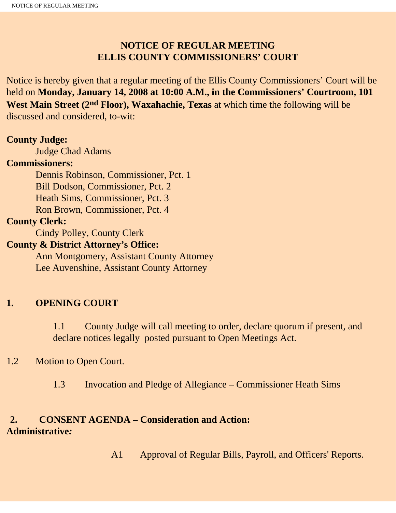# **NOTICE OF REGULAR MEETING ELLIS COUNTY COMMISSIONERS' COURT**

Notice is hereby given that a regular meeting of the Ellis County Commissioners' Court will be held on **Monday, January 14, 2008 at 10:00 A.M., in the Commissioners' Courtroom, 101 West Main Street (2nd Floor), Waxahachie, Texas** at which time the following will be discussed and considered, to-wit:

#### **County Judge:**

Judge Chad Adams

#### **Commissioners:**

 Dennis Robinson, Commissioner, Pct. 1 Bill Dodson, Commissioner, Pct. 2 Heath Sims, Commissioner, Pct. 3 Ron Brown, Commissioner, Pct. 4

#### **County Clerk:**

Cindy Polley, County Clerk

#### **County & District Attorney's Office:**

 Ann Montgomery, Assistant County Attorney Lee Auvenshine, Assistant County Attorney

### **1. OPENING COURT**

1.1 County Judge will call meeting to order, declare quorum if present, and declare notices legally posted pursuant to Open Meetings Act.

### 1.2 Motion to Open Court.

1.3 Invocation and Pledge of Allegiance – Commissioner Heath Sims

### **2. CONSENT AGENDA – Consideration and Action: Administrative***:*

A1 Approval of Regular Bills, Payroll, and Officers' Reports.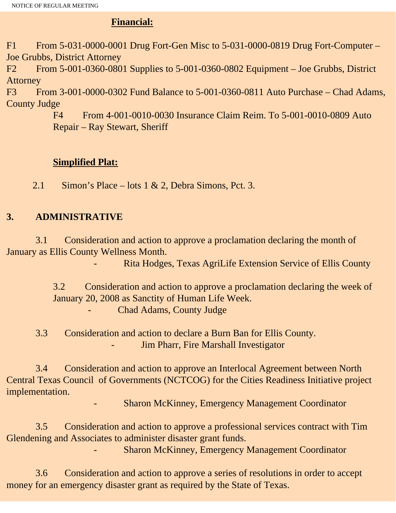## **Financial:**

F1 From 5-031-0000-0001 Drug Fort-Gen Misc to 5-031-0000-0819 Drug Fort-Computer – Joe Grubbs, District Attorney

F2 From 5-001-0360-0801 Supplies to 5-001-0360-0802 Equipment – Joe Grubbs, District Attorney

F3 From 3-001-0000-0302 Fund Balance to 5-001-0360-0811 Auto Purchase – Chad Adams, County Judge

> F4 From 4-001-0010-0030 Insurance Claim Reim. To 5-001-0010-0809 Auto Repair – Ray Stewart, Sheriff

# **Simplified Plat:**

2.1 Simon's Place – lots 1 & 2, Debra Simons, Pct. 3.

# **3. ADMINISTRATIVE**

 3.1 Consideration and action to approve a proclamation declaring the month of January as Ellis County Wellness Month.

- Rita Hodges, Texas AgriLife Extension Service of Ellis County

3.2 Consideration and action to approve a proclamation declaring the week of January 20, 2008 as Sanctity of Human Life Week. Chad Adams, County Judge

 3.3 Consideration and action to declare a Burn Ban for Ellis County. Jim Pharr, Fire Marshall Investigator

 3.4 Consideration and action to approve an Interlocal Agreement between North Central Texas Council of Governments (NCTCOG) for the Cities Readiness Initiative project implementation.

Sharon McKinney, Emergency Management Coordinator

 3.5 Consideration and action to approve a professional services contract with Tim Glendening and Associates to administer disaster grant funds.

Sharon McKinney, Emergency Management Coordinator

 3.6 Consideration and action to approve a series of resolutions in order to accept money for an emergency disaster grant as required by the State of Texas.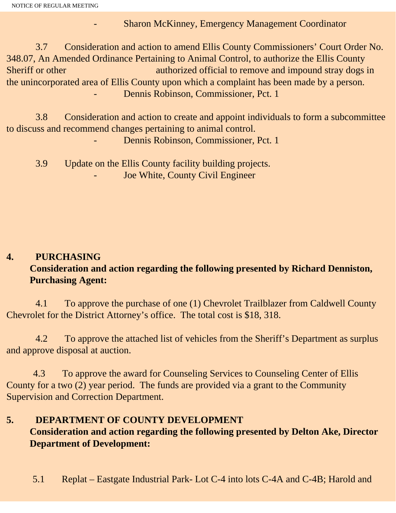- Sharon McKinney, Emergency Management Coordinator

 3.7 Consideration and action to amend Ellis County Commissioners' Court Order No. 348.07, An Amended Ordinance Pertaining to Animal Control, to authorize the Ellis County Sheriff or other authorized official to remove and impound stray dogs in the unincorporated area of Ellis County upon which a complaint has been made by a person. Dennis Robinson, Commissioner, Pct. 1

 3.8 Consideration and action to create and appoint individuals to form a subcommittee to discuss and recommend changes pertaining to animal control.

Dennis Robinson, Commissioner, Pct. 1

 3.9 Update on the Ellis County facility building projects. Joe White, County Civil Engineer

# **4. PURCHASING Consideration and action regarding the following presented by Richard Denniston, Purchasing Agent:**

4.1 To approve the purchase of one (1) Chevrolet Trailblazer from Caldwell County Chevrolet for the District Attorney's office. The total cost is \$18, 318.

 4.2 To approve the attached list of vehicles from the Sheriff's Department as surplus and approve disposal at auction.

 4.3 To approve the award for Counseling Services to Counseling Center of Ellis County for a two (2) year period. The funds are provided via a grant to the Community Supervision and Correction Department.

### **5. DEPARTMENT OF COUNTY DEVELOPMENT Consideration and action regarding the following presented by Delton Ake, Director Department of Development:**

5.1 Replat – Eastgate Industrial Park- Lot C-4 into lots C-4A and C-4B; Harold and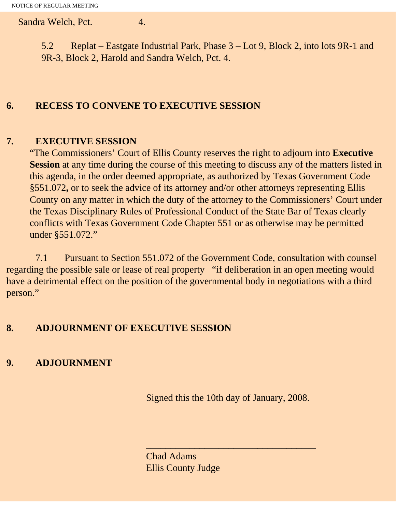Sandra Welch, Pct. 4.

5.2 Replat – Eastgate Industrial Park, Phase 3 – Lot 9, Block 2, into lots 9R-1 and 9R-3, Block 2, Harold and Sandra Welch, Pct. 4.

# **6. RECESS TO CONVENE TO EXECUTIVE SESSION**

#### **7. EXECUTIVE SESSION**

"The Commissioners' Court of Ellis County reserves the right to adjourn into **Executive Session** at any time during the course of this meeting to discuss any of the matters listed in this agenda, in the order deemed appropriate, as authorized by Texas Government Code §551.072**,** or to seek the advice of its attorney and/or other attorneys representing Ellis County on any matter in which the duty of the attorney to the Commissioners' Court under the Texas Disciplinary Rules of Professional Conduct of the State Bar of Texas clearly conflicts with Texas Government Code Chapter 551 or as otherwise may be permitted under §551.072."

 7.1 Pursuant to Section 551.072 of the Government Code, consultation with counsel regarding the possible sale or lease of real property "if deliberation in an open meeting would have a detrimental effect on the position of the governmental body in negotiations with a third person."

### **8. ADJOURNMENT OF EXECUTIVE SESSION**

# **9. ADJOURNMENT**

Signed this the 10th day of January, 2008.

 $\overline{\phantom{a}}$  , and the contract of the contract of the contract of  $\overline{\phantom{a}}$ 

Chad Adams Ellis County Judge